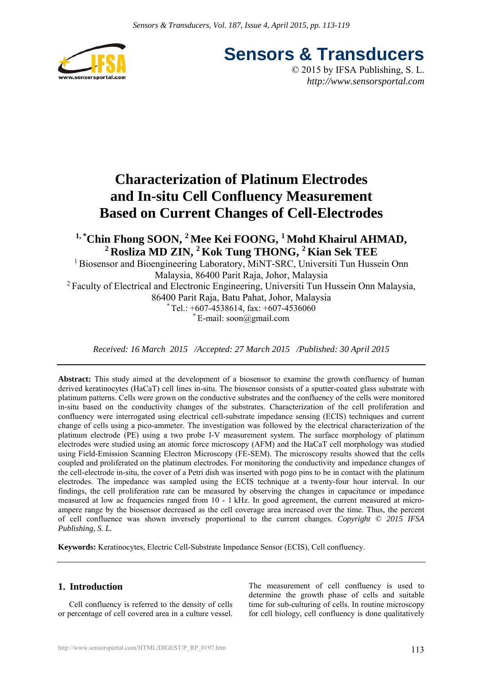

**Sensors & Transducers**

© 2015 by IFSA Publishing, S. L. *http://www.sensorsportal.com*

# **Characterization of Platinum Electrodes and In-situ Cell Confluency Measurement Based on Current Changes of Cell-Electrodes**

# <sup>1,\*</sup>Chin Fhong SOON,<sup>2</sup> Mee Kei FOONG,<sup>1</sup> Mohd Khairul AHMAD, **2 Rosliza MD ZIN, 2 Kok Tung THONG, 2 Kian Sek TEE**

<sup>1</sup> Biosensor and Bioengineering Laboratory, MiNT-SRC, Universiti Tun Hussein Onn Malaysia, 86400 Parit Raja, Johor, Malaysia <sup>2</sup> Faculty of Electrical and Electronic Engineering, Universiti Tun Hussein Onn Malaysia, 86400 Parit Raja, Batu Pahat, Johor, Malaysia  $*$  Tel.: +607-4538614, fax: +607-4536060  $E$ -mail: soon@gmail.com

*Received: 16 March 2015 /Accepted: 27 March 2015 /Published: 30 April 2015*

**Abstract:** This study aimed at the development of a biosensor to examine the growth confluency of human derived keratinocytes (HaCaT) cell lines in-situ. The biosensor consists of a sputter-coated glass substrate with platinum patterns. Cells were grown on the conductive substrates and the confluency of the cells were monitored in-situ based on the conductivity changes of the substrates. Characterization of the cell proliferation and confluency were interrogated using electrical cell-substrate impedance sensing (ECIS) techniques and current change of cells using a pico-ammeter. The investigation was followed by the electrical characterization of the platinum electrode (PE) using a two probe I-V measurement system. The surface morphology of platinum electrodes were studied using an atomic force microscopy (AFM) and the HaCaT cell morphology was studied using Field-Emission Scanning Electron Microscopy (FE-SEM). The microscopy results showed that the cells coupled and proliferated on the platinum electrodes. For monitoring the conductivity and impedance changes of the cell-electrode in-situ, the cover of a Petri dish was inserted with pogo pins to be in contact with the platinum electrodes. The impedance was sampled using the ECIS technique at a twenty-four hour interval. In our findings, the cell proliferation rate can be measured by observing the changes in capacitance or impedance measured at low ac frequencies ranged from 10 - 1 kHz. In good agreement, the current measured at microampere range by the biosensor decreased as the cell coverage area increased over the time. Thus, the percent of cell confluence was shown inversely proportional to the current changes. *Copyright © 2015 IFSA Publishing, S. L.*

**Keywords:** Keratinocytes, Electric Cell-Substrate Impedance Sensor (ECIS), Cell confluency.

# **1. Introduction**

Cell confluency is referred to the density of cells or percentage of cell covered area in a culture vessel.

The measurement of cell confluency is used to determine the growth phase of cells and suitable time for sub-culturing of cells. In routine microscopy for cell biology, cell confluency is done qualitatively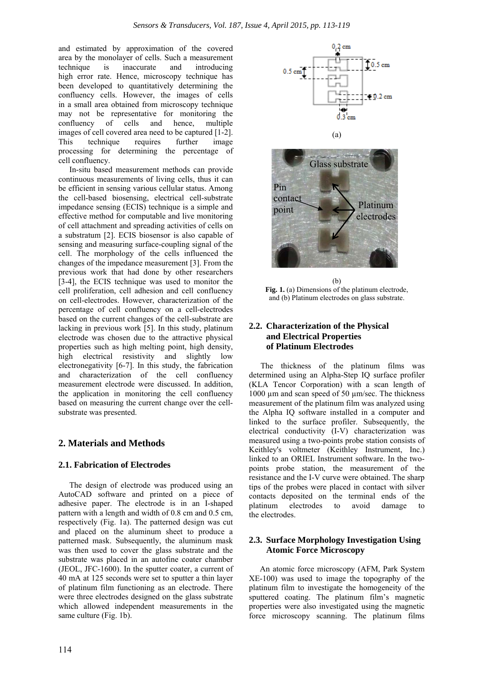and estimated by approximation of the covered area by the monolayer of cells. Such a measurement technique is inaccurate and introducing high error rate. Hence, microscopy technique has been developed to quantitatively determining the confluency cells. However, the images of cells in a small area obtained from microscopy technique may not be representative for monitoring the confluency of cells and hence, multiple images of cell covered area need to be captured [1-2]. This technique requires further image processing for determining the percentage of cell confluency.

In-situ based measurement methods can provide continuous measurements of living cells, thus it can be efficient in sensing various cellular status. Among the cell-based biosensing, electrical cell-substrate impedance sensing (ECIS) technique is a simple and effective method for computable and live monitoring of cell attachment and spreading activities of cells on a substratum [2]. ECIS biosensor is also capable of sensing and measuring surface-coupling signal of the cell. The morphology of the cells influenced the changes of the impedance measurement [3]. From the previous work that had done by other researchers [3-4], the ECIS technique was used to monitor the cell proliferation, cell adhesion and cell confluency on cell-electrodes. However, characterization of the percentage of cell confluency on a cell-electrodes based on the current changes of the cell-substrate are lacking in previous work [5]. In this study, platinum electrode was chosen due to the attractive physical properties such as high melting point, high density, high electrical resistivity and slightly low electronegativity [6-7]. In this study, the fabrication and characterization of the cell confluency measurement electrode were discussed. In addition, the application in monitoring the cell confluency based on measuring the current change over the cellsubstrate was presented.

# **2. Materials and Methods**

#### **2.1. Fabrication of Electrodes**

The design of electrode was produced using an AutoCAD software and printed on a piece of adhesive paper. The electrode is in an I-shaped pattern with a length and width of 0.8 cm and 0.5 cm, respectively (Fig. 1a). The patterned design was cut and placed on the aluminum sheet to produce a patterned mask. Subsequently, the aluminum mask was then used to cover the glass substrate and the substrate was placed in an autofine coater chamber (JEOL, JFC-1600). In the sputter coater, a current of 40 mA at 125 seconds were set to sputter a thin layer of platinum film functioning as an electrode. There were three electrodes designed on the glass substrate which allowed independent measurements in the same culture (Fig. 1b).



(a)



 $(h)$ **Fig. 1.** (a) Dimensions of the platinum electrode, and (b) Platinum electrodes on glass substrate.

# **2.2. Characterization of the Physical and Electrical Properties of Platinum Electrodes**

The thickness of the platinum films was determined using an Alpha-Step IQ surface profiler (KLA Tencor Corporation) with a scan length of 1000 µm and scan speed of 50 µm/sec. The thickness measurement of the platinum film was analyzed using the Alpha IQ software installed in a computer and linked to the surface profiler. Subsequently, the electrical conductivity (I-V) characterization was measured using a two-points probe station consists of Keithley's voltmeter (Keithley Instrument, Inc.) linked to an ORIEL Instrument software. In the twopoints probe station, the measurement of the resistance and the I-V curve were obtained. The sharp tips of the probes were placed in contact with silver contacts deposited on the terminal ends of the platinum electrodes to avoid damage to the electrodes.

# **2.3. Surface Morphology Investigation Using Atomic Force Microscopy**

An atomic force microscopy (AFM, Park System XE-100) was used to image the topography of the platinum film to investigate the homogeneity of the sputtered coating. The platinum film's magnetic properties were also investigated using the magnetic force microscopy scanning. The platinum films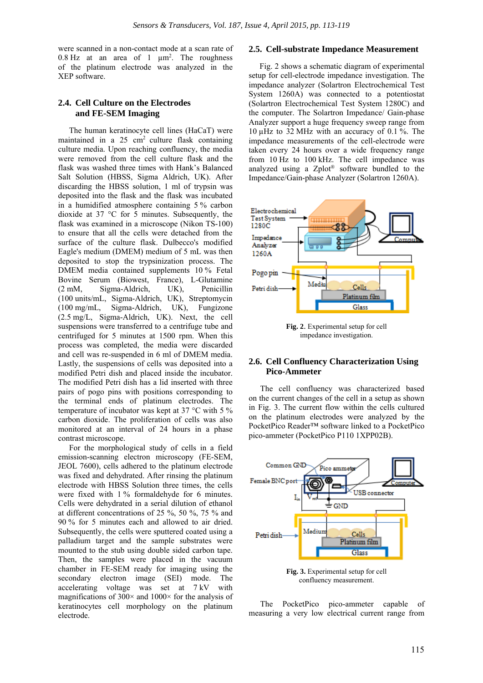were scanned in a non-contact mode at a scan rate of 0.8 Hz at an area of 1  $\mu$ m<sup>2</sup>. The roughness of the platinum electrode was analyzed in the XEP software.

# **2.4. Cell Culture on the Electrodes and FE-SEM Imaging**

The human keratinocyte cell lines (HaCaT) were maintained in a  $25 \text{ cm}^2$  culture flask containing culture media. Upon reaching confluency, the media were removed from the cell culture flask and the flask was washed three times with Hank's Balanced Salt Solution (HBSS, Sigma Aldrich, UK). After discarding the HBSS solution, 1 ml of trypsin was deposited into the flask and the flask was incubated in a humidified atmosphere containing 5 % carbon dioxide at 37 °C for 5 minutes. Subsequently, the flask was examined in a microscope (Nikon TS-100) to ensure that all the cells were detached from the surface of the culture flask. Dulbecco's modified Eagle's medium (DMEM) medium of 5 mL was then deposited to stop the trypsinization process. The DMEM media contained supplements 10 % Fetal Bovine Serum (Biowest, France), L-Glutamine (2 mM, Sigma-Aldrich, UK), Penicillin (100 units/mL, Sigma-Aldrich, UK), Streptomycin (100 mg/mL, Sigma-Aldrich, UK), Fungizone (2.5 mg/L, Sigma-Aldrich, UK). Next, the cell suspensions were transferred to a centrifuge tube and centrifuged for 5 minutes at 1500 rpm. When this process was completed, the media were discarded and cell was re-suspended in 6 ml of DMEM media. Lastly, the suspensions of cells was deposited into a modified Petri dish and placed inside the incubator. The modified Petri dish has a lid inserted with three pairs of pogo pins with positions corresponding to the terminal ends of platinum electrodes. The temperature of incubator was kept at 37 °C with 5 % carbon dioxide. The proliferation of cells was also monitored at an interval of 24 hours in a phase contrast microscope.

For the morphological study of cells in a field emission-scanning electron microscopy (FE-SEM, JEOL 7600), cells adhered to the platinum electrode was fixed and dehydrated. After rinsing the platinum electrode with HBSS Solution three times, the cells were fixed with 1 % formaldehyde for 6 minutes. Cells were dehydrated in a serial dilution of ethanol at different concentrations of 25 %, 50 %, 75 % and 90 % for 5 minutes each and allowed to air dried. Subsequently, the cells were sputtered coated using a palladium target and the sample substrates were mounted to the stub using double sided carbon tape. Then, the samples were placed in the vacuum chamber in FE-SEM ready for imaging using the secondary electron image (SEI) mode. The accelerating voltage was set at 7 kV with magnifications of  $300 \times$  and  $1000 \times$  for the analysis of keratinocytes cell morphology on the platinum electrode.

#### **2.5. Cell-substrate Impedance Measurement**

Fig. 2 shows a schematic diagram of experimental setup for cell-electrode impedance investigation. The impedance analyzer (Solartron Electrochemical Test System 1260A) was connected to a potentiostat (Solartron Electrochemical Test System 1280C) and the computer. The Solartron Impedance/ Gain-phase Analyzer support a huge frequency sweep range from 10 µHz to 32 MHz with an accuracy of 0.1 %. The impedance measurements of the cell-electrode were taken every 24 hours over a wide frequency range from 10 Hz to 100 kHz. The cell impedance was analyzed using a Zplot® software bundled to the Impedance/Gain-phase Analyzer (Solartron 1260A).



**Fig. 2**. Experimental setup for cell impedance investigation.

### **2.6. Cell Confluency Characterization Using Pico-Ammeter**

The cell confluency was characterized based on the current changes of the cell in a setup as shown in Fig. 3. The current flow within the cells cultured on the platinum electrodes were analyzed by the PocketPico Reader™ software linked to a PocketPico pico-ammeter (PocketPico P110 1XPP02B).



confluency measurement.

The PocketPico pico-ammeter capable of measuring a very low electrical current range from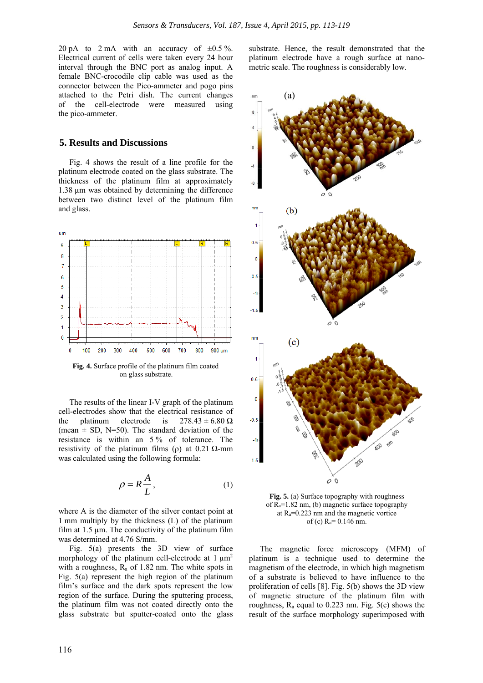20 pA to 2 mA with an accuracy of  $\pm 0.5\%$ . Electrical current of cells were taken every 24 hour interval through the BNC port as analog input. A female BNC-crocodile clip cable was used as the connector between the Pico-ammeter and pogo pins attached to the Petri dish. The current changes of the cell-electrode were measured using the pico-ammeter.

#### **5. Results and Discussions**

Fig. 4 shows the result of a line profile for the platinum electrode coated on the glass substrate. The thickness of the platinum film at approximately 1.38 µm was obtained by determining the difference between two distinct level of the platinum film and glass.



**Fig. 4.** Surface profile of the platinum film coated on glass substrate.

The results of the linear I-V graph of the platinum cell-electrodes show that the electrical resistance of the platinum electrode is  $278.43 \pm 6.80 \Omega$ (mean  $\pm$  SD, N=50). The standard deviation of the resistance is within an 5 % of tolerance. The resistivity of the platinum films (ρ) at  $0.21$  Ω-mm was calculated using the following formula:

$$
\rho = R \frac{A}{L},\tag{1}
$$

where A is the diameter of the silver contact point at 1 mm multiply by the thickness (L) of the platinum film at  $1.5 \mu$ m. The conductivity of the platinum film was determined at 4.76 S/mm.

Fig. 5(a) presents the 3D view of surface morphology of the platinum cell-electrode at  $1 \mu m^2$ with a roughness,  $R_a$  of 1.82 nm. The white spots in Fig. 5(a) represent the high region of the platinum film's surface and the dark spots represent the low region of the surface. During the sputtering process, the platinum film was not coated directly onto the glass substrate but sputter-coated onto the glass

substrate. Hence, the result demonstrated that the platinum electrode have a rough surface at nanometric scale. The roughness is considerably low.



**Fig. 5.** (a) Surface topography with roughness of  $R_a=1.82$  nm, (b) magnetic surface topography at  $R_a = 0.223$  nm and the magnetic vortice of (c)  $R_a = 0.146$  nm.

The magnetic force microscopy (MFM) of platinum is a technique used to determine the magnetism of the electrode, in which high magnetism of a substrate is believed to have influence to the proliferation of cells [8]. Fig. 5(b) shows the 3D view of magnetic structure of the platinum film with roughness,  $R_a$  equal to 0.223 nm. Fig.  $5(c)$  shows the result of the surface morphology superimposed with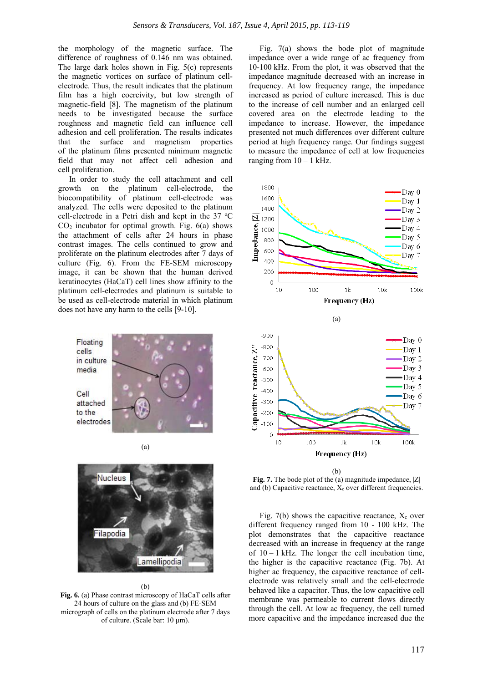the morphology of the magnetic surface. The difference of roughness of 0.146 nm was obtained. The large dark holes shown in Fig. 5(c) represents the magnetic vortices on surface of platinum cellelectrode. Thus, the result indicates that the platinum film has a high coercivity, but low strength of magnetic-field [8]. The magnetism of the platinum needs to be investigated because the surface roughness and magnetic field can influence cell adhesion and cell proliferation. The results indicates that the surface and magnetism properties of the platinum films presented minimum magnetic field that may not affect cell adhesion and cell proliferation.

In order to study the cell attachment and cell growth on the platinum cell-electrode, the biocompatibility of platinum cell-electrode was analyzed. The cells were deposited to the platinum cell-electrode in a Petri dish and kept in the  $37 °C$  $CO<sub>2</sub>$  incubator for optimal growth. Fig.  $6(a)$  shows the attachment of cells after 24 hours in phase contrast images. The cells continued to grow and proliferate on the platinum electrodes after 7 days of culture (Fig. 6). From the FE-SEM microscopy image, it can be shown that the human derived keratinocytes (HaCaT) cell lines show affinity to the platinum cell-electrodes and platinum is suitable to be used as cell-electrode material in which platinum does not have any harm to the cells [9-10].







(b) **Fig. 6.** (a) Phase contrast microscopy of HaCaT cells after 24 hours of culture on the glass and (b) FE-SEM micrograph of cells on the platinum electrode after 7 days of culture. (Scale bar: 10 µm).

Fig. 7(a) shows the bode plot of magnitude impedance over a wide range of ac frequency from 10-100 kHz. From the plot, it was observed that the impedance magnitude decreased with an increase in frequency. At low frequency range, the impedance increased as period of culture increased. This is due to the increase of cell number and an enlarged cell covered area on the electrode leading to the impedance to increase. However, the impedance presented not much differences over different culture period at high frequency range. Our findings suggest to measure the impedance of cell at low frequencies ranging from  $10 - 1$  kHz.



**Fig. 7.** The bode plot of the (a) magnitude impedance,  $|Z|$ and (b) Capacitive reactance,  $X_c$  over different frequencies.

Fig. 7(b) shows the capacitive reactance,  $X_c$  over different frequency ranged from 10 - 100 kHz. The plot demonstrates that the capacitive reactance decreased with an increase in frequency at the range of  $10 - 1$  kHz. The longer the cell incubation time, the higher is the capacitive reactance (Fig. 7b). At higher ac frequency, the capacitive reactance of cellelectrode was relatively small and the cell-electrode behaved like a capacitor. Thus, the low capacitive cell membrane was permeable to current flows directly through the cell. At low ac frequency, the cell turned more capacitive and the impedance increased due the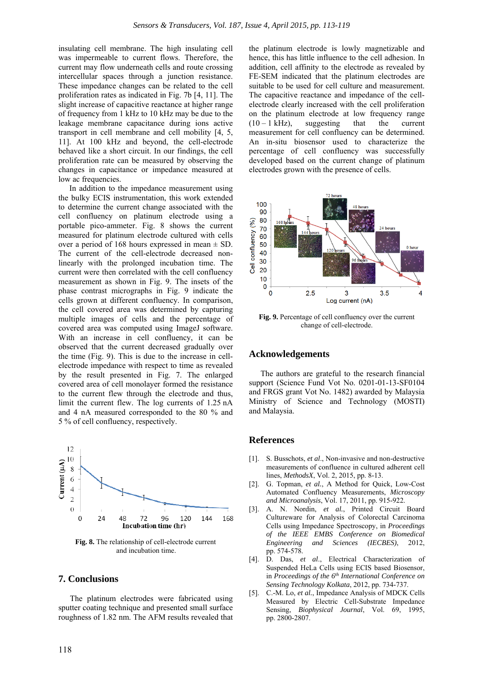insulating cell membrane. The high insulating cell was impermeable to current flows. Therefore, the current may flow underneath cells and route crossing intercellular spaces through a junction resistance. These impedance changes can be related to the cell proliferation rates as indicated in Fig. 7b [4, 11]. The slight increase of capacitive reactance at higher range of frequency from 1 kHz to 10 kHz may be due to the leakage membrane capacitance during ions active transport in cell membrane and cell mobility [4, 5, 11]. At 100 kHz and beyond, the cell-electrode behaved like a short circuit. In our findings, the cell proliferation rate can be measured by observing the changes in capacitance or impedance measured at low ac frequencies.

In addition to the impedance measurement using the bulky ECIS instrumentation, this work extended to determine the current change associated with the cell confluency on platinum electrode using a portable pico-ammeter. Fig. 8 shows the current measured for platinum electrode cultured with cells over a period of 168 hours expressed in mean  $\pm$  SD. The current of the cell-electrode decreased nonlinearly with the prolonged incubation time. The current were then correlated with the cell confluency measurement as shown in Fig. 9. The insets of the phase contrast micrographs in Fig. 9 indicate the cells grown at different confluency. In comparison, the cell covered area was determined by capturing multiple images of cells and the percentage of covered area was computed using ImageJ software. With an increase in cell confluency, it can be observed that the current decreased gradually over the time (Fig. 9). This is due to the increase in cellelectrode impedance with respect to time as revealed by the result presented in Fig. 7. The enlarged covered area of cell monolayer formed the resistance to the current flew through the electrode and thus, limit the current flew. The log currents of 1.25 nA and 4 nA measured corresponded to the 80 % and 5 % of cell confluency, respectively.



**Fig. 8.** The relationship of cell-electrode current and incubation time.

#### **7. Conclusions**

The platinum electrodes were fabricated using sputter coating technique and presented small surface roughness of 1.82 nm. The AFM results revealed that

the platinum electrode is lowly magnetizable and hence, this has little influence to the cell adhesion. In addition, cell affinity to the electrode as revealed by FE-SEM indicated that the platinum electrodes are suitable to be used for cell culture and measurement. The capacitive reactance and impedance of the cellelectrode clearly increased with the cell proliferation on the platinum electrode at low frequency range  $(10 - 1$  kHz), suggesting that the current measurement for cell confluency can be determined. An in-situ biosensor used to characterize the percentage of cell confluency was successfully developed based on the current change of platinum electrodes grown with the presence of cells.



**Fig. 9.** Percentage of cell confluency over the current change of cell-electrode.

#### **Acknowledgements**

The authors are grateful to the research financial support (Science Fund Vot No. 0201-01-13-SF0104 and FRGS grant Vot No. 1482) awarded by Malaysia Ministry of Science and Technology (MOSTI) and Malaysia.

# **References**

- [1]. S. Busschots, *et al*., Non-invasive and non-destructive measurements of confluence in cultured adherent cell lines, *MethodsX*, Vol. 2, 2015, pp. 8-13.
- [2]. G. Topman, *et al.*, A Method for Quick, Low-Cost Automated Confluency Measurements, *Microscopy and Microanalysis*, Vol. 17, 2011, pp. 915-922.
- [3]. A. N. Nordin, *et al.*, Printed Circuit Board Cultureware for Analysis of Colorectal Carcinoma Cells using Impedance Spectroscopy, in *Proceedings of the IEEE EMBS Conference on Biomedical Engineering and Sciences (IECBES)*, 2012, pp. 574-578.
- [4]. D. Das, *et al*., Electrical Characterization of Suspended HeLa Cells using ECIS based Biosensor, in *Proceedings of the 6th International Conference on Sensing Technology Kolkata*, 2012, pp. 734-737.
- [5]. C.-M. Lo, *et al.*, Impedance Analysis of MDCK Cells Measured by Electric Cell-Substrate Impedance Sensing, *Biophysical Journal*, Vol. 69, 1995, pp. 2800-2807.